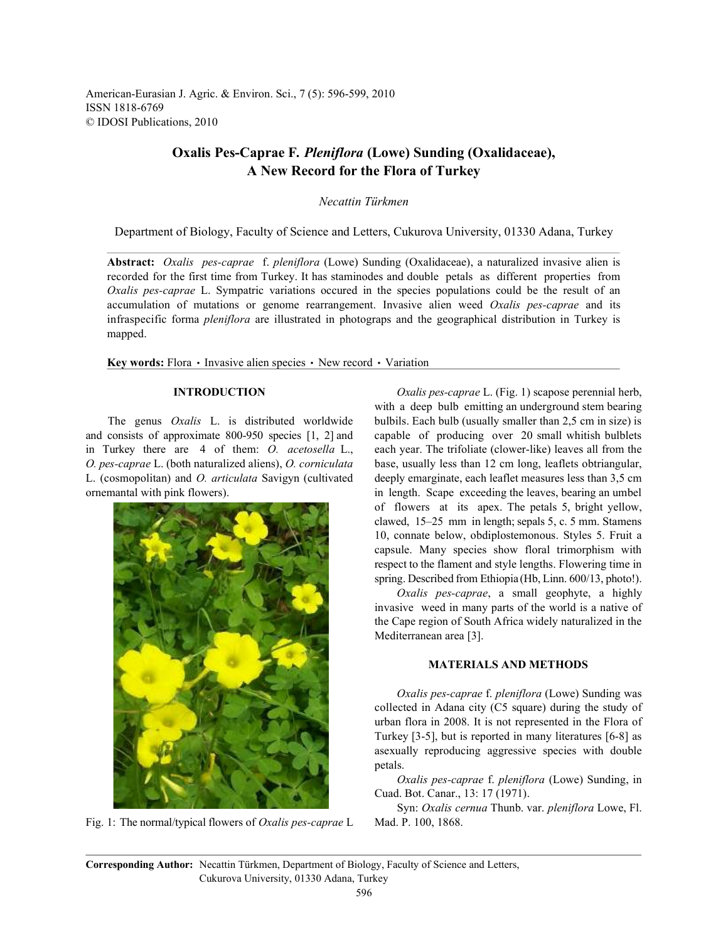American-Eurasian J. Agric. & Environ. Sci., 7 (5): 596-599, 2010 ISSN 1818-6769 © IDOSI Publications, 2010

# **Oxalis Pes-Caprae F***. Pleniflora* **(Lowe) Sunding (Oxalidaceae), A New Record for the Flora of Turkey**

*Necattin Türkmen*

Department of Biology, Faculty of Science and Letters, Cukurova University, 01330 Adana, Turkey

**Abstract:** *Oxalis pes-caprae* f. *pleniflora* (Lowe) Sunding (Oxalidaceae), a naturalized invasive alien is recorded for the first time from Turkey. It has staminodes and double petals as different properties from *Oxalis pes-caprae* L. Sympatric variations occured in the species populations could be the result of an accumulation of mutations or genome rearrangement. Invasive alien weed *Oxalis pes-caprae* and its infraspecific forma *pleniflora* are illustrated in photograps and the geographical distribution in Turkey is mapped.

**Key words:** Flora • Invasive alien species • New record • Variation

and consists of approximate 800-950 species [1, 2] and capable of producing over 20 small whitish bulblets in Turkey there are 4 of them: *O. acetosella* L., each year. The trifoliate (clower-like) leaves all from the *O. pes-caprae* L. (both naturalized aliens), *O. corniculata* base, usually less than 12 cm long, leaflets obtriangular, L. (cosmopolitan) and *O. articulata* Savigyn (cultivated deeply emarginate, each leaflet measures less than 3,5 cm ornemantal with pink flowers). in length. Scape exceeding the leaves, bearing an umbel



Fig. 1: The normal/typical flowers of *Oxalis pes-caprae* L Mad. P. 100, 1868.

**INTRODUCTION** *Oxalis pes-caprae* L. (Fig. 1) scapose perennial herb, The genus *Oxalis* L. is distributed worldwide bulbils. Each bulb (usually smaller than 2,5 cm in size) is with a deep bulb emitting an underground stem bearing of flowers at its apex. The petals 5, bright yellow, clawed, 15–25 mm in length; sepals 5, c. 5 mm. Stamens 10, connate below, obdiplostemonous. Styles 5. Fruit a capsule. Many species show floral trimorphism with respect to the flament and style lengths. Flowering time in spring. Described from Ethiopia (Hb, Linn. 600/13, photo!).

> *Oxalis pes-caprae*, a small geophyte, a highly invasive weed in many parts of the world is a native of the Cape region of South Africa widely naturalized in the Mediterranean area [3].

## **MATERIALS AND METHODS**

*Oxalis pes-caprae* f. *pleniflora* (Lowe) Sunding was collected in Adana city (C5 square) during the study of urban flora in 2008. It is not represented in the Flora of Turkey [3-5], but is reported in many literatures [6-8] as asexually reproducing aggressive species with double petals.

*Oxalis pes-caprae* f. *pleniflora* (Lowe) Sunding, in Cuad. Bot. Canar., 13: 17 (1971).

Syn: *Oxalis cernua* Thunb. var. *pleniflora* Lowe, Fl.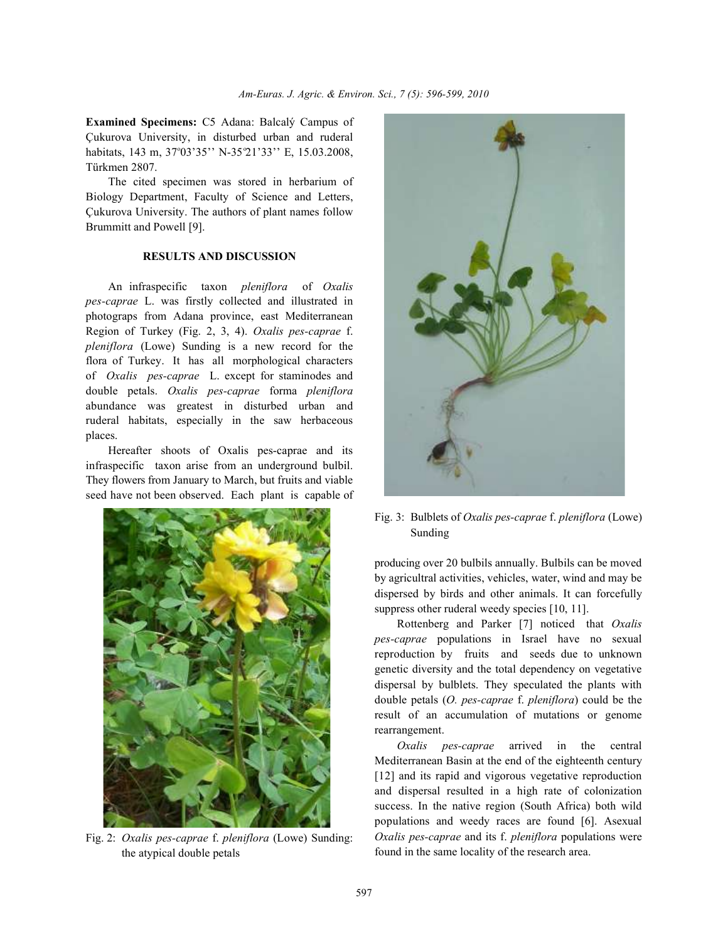**Examined Specimens:** C5 Adana: Balcalý Campus of Çukurova University, in disturbed urban and ruderal habitats, 143 m, 37°03'35'' N-35°21'33'' E, 15.03.2008, Türkmen 2807.

The cited specimen was stored in herbarium of Biology Department, Faculty of Science and Letters, Çukurova University. The authors of plant names follow Brummitt and Powell [9].

### **RESULTS AND DISCUSSION**

An infraspecific taxon *pleniflora* of *Oxalis pes-caprae* L. was firstly collected and illustrated in photograps from Adana province, east Mediterranean Region of Turkey (Fig. 2, 3, 4). *Oxalis pes-caprae* f. *pleniflora* (Lowe) Sunding is a new record for the flora of Turkey. It has all morphological characters of *Oxalis pes-caprae* L. except for staminodes and double petals. *Oxalis pes-caprae* forma *pleniflora* abundance was greatest in disturbed urban and ruderal habitats, especially in the saw herbaceous places.

Hereafter shoots of Oxalis pes-caprae and its infraspecific taxon arise from an underground bulbil. They flowers from January to March, but fruits and viable seed have not been observed. Each plant is capable of



Fig. 2: *Oxalis pes-caprae* f. *pleniflora* (Lowe) Sunding: the atypical double petals



Fig. 3: Bulblets of *Oxalis pes-caprae* f. *pleniflora* (Lowe) Sunding

producing over 20 bulbils annually. Bulbils can be moved by agricultral activities, vehicles, water, wind and may be dispersed by birds and other animals. It can forcefully suppress other ruderal weedy species [10, 11].

Rottenberg and Parker [7] noticed that *Oxalis pes-caprae* populations in Israel have no sexual reproduction by fruits and seeds due to unknown genetic diversity and the total dependency on vegetative dispersal by bulblets. They speculated the plants with double petals (*O. pes-caprae* f. *pleniflora*) could be the result of an accumulation of mutations or genome rearrangement.

*Oxalis pes-caprae* arrived in the central Mediterranean Basin at the end of the eighteenth century [12] and its rapid and vigorous vegetative reproduction and dispersal resulted in a high rate of colonization success. In the native region (South Africa) both wild populations and weedy races are found [6]. Asexual *Oxalis pes-caprae* and its f. *pleniflora* populations were found in the same locality of the research area.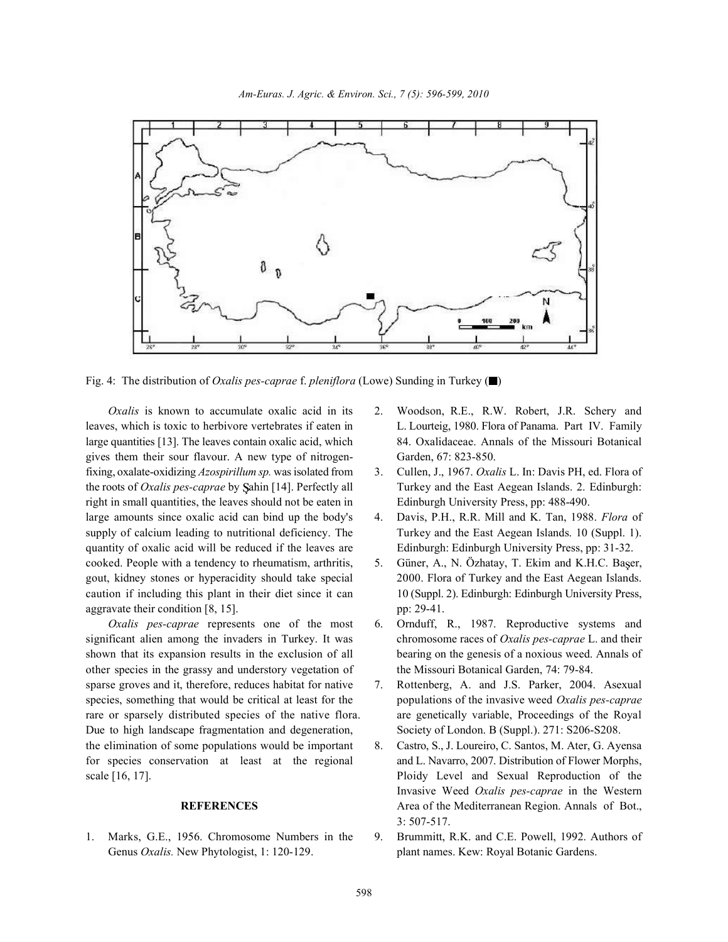

Fig. 4: The distribution of *Oxalis pes-caprae* f. *pleniflora* (Lowe) Sunding in Turkey ( $\blacksquare$ )

leaves, which is toxic to herbivore vertebrates if eaten in L. Lourteig, 1980. Flora of Panama. Part IV. Family large quantities [13]. The leaves contain oxalic acid, which 84. Oxalidaceae. Annals of the Missouri Botanical gives them their sour flavour. A new type of nitrogen- Garden, 67: 823-850. fixing, oxalate-oxidizing *Azospirillum sp.* was isolated from 3. Cullen, J., 1967. *Oxalis* L. In: Davis PH, ed. Flora of the roots of *Oxalis pes-caprae* by Sahin [14]. Perfectly all Turkey and the East Aegean Islands. 2. Edinburgh: right in small quantities, the leaves should not be eaten in Edinburgh University Press, pp: 488-490. large amounts since oxalic acid can bind up the body's 4. Davis, P.H., R.R. Mill and K. Tan, 1988. *Flora* of quantity of oxalic acid will be reduced if the leaves are Edinburgh: Edinburgh University Press, pp: 31-32. cooked. People with a tendency to rheumatism, arthritis, 5. Güner, A., N. Özhatay, T. Ekim and K.H.C. Baser, aggravate their condition [8, 15]. pp: 29-41.

significant alien among the invaders in Turkey. It was chromosome races of *Oxalis pes-caprae* L. and their shown that its expansion results in the exclusion of all bearing on the genesis of a noxious weed. Annals of other species in the grassy and understory vegetation of the Missouri Botanical Garden, 74: 79-84. sparse groves and it, therefore, reduces habitat for native 7. Rottenberg, A. and J.S. Parker, 2004. Asexual species, something that would be critical at least for the populations of the invasive weed *Oxalis pes-caprae* rare or sparsely distributed species of the native flora. are genetically variable, Proceedings of the Royal Due to high landscape fragmentation and degeneration, Society of London. B (Suppl.). 271: S206-S208. the elimination of some populations would be important 8. Castro, S., J. Loureiro, C. Santos, M. Ater, G. Ayensa for species conservation at least at the regional and L. Navarro, 2007. Distribution of Flower Morphs, scale [16, 17]. Ploidy Level and Sexual Reproduction of the

Genus *Oxalis*. New Phytologist, 1:120-129. **plant names. Kew: Royal Botanic Gardens.** 

- *Oxalis* is known to accumulate oxalic acid in its 2. Woodson, R.E., R.W. Robert, J.R. Schery and
	-
- supply of calcium leading to nutritional deficiency. The Turkey and the East Aegean Islands. 10 (Suppl. 1).
- gout, kidney stones or hyperacidity should take special 2000. Flora of Turkey and the East Aegean Islands. caution if including this plant in their diet since it can 10 (Suppl. 2). Edinburgh: Edinburgh University Press,
	- *Oxalis pes-caprae* represents one of the most 6. Ornduff, R., 1987. Reproductive systems and
		-
		- **REFERENCES** Area of the Mediterranean Region. Annals of Bot., Invasive Weed *Oxalis pes-caprae* in the Western 3: 507-517.
- 1. Marks, G.E., 1956. Chromosome Numbers in the 9. Brummitt, R.K. and C.E. Powell, 1992. Authors of